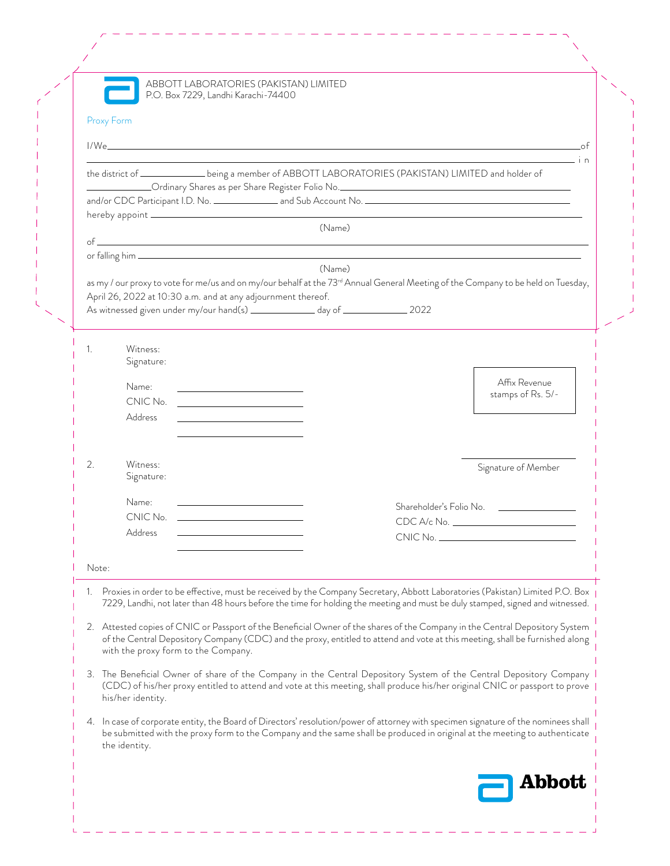| Proxy Form |                                                                                                                                                                                                                                                                                                                                                                                                                                                                                                               |                                                                                                                                                                                                                                                                                                                                                |
|------------|---------------------------------------------------------------------------------------------------------------------------------------------------------------------------------------------------------------------------------------------------------------------------------------------------------------------------------------------------------------------------------------------------------------------------------------------------------------------------------------------------------------|------------------------------------------------------------------------------------------------------------------------------------------------------------------------------------------------------------------------------------------------------------------------------------------------------------------------------------------------|
|            |                                                                                                                                                                                                                                                                                                                                                                                                                                                                                                               |                                                                                                                                                                                                                                                                                                                                                |
|            |                                                                                                                                                                                                                                                                                                                                                                                                                                                                                                               | <u>in the contract of the contract of the contract of the contract of the contract of the contract of the contract of the contract of the contract of the contract of the contract of the contract of the contract of the contra</u><br>the district of ________________being a member of ABBOTT LABORATORIES (PAKISTAN) LIMITED and holder of |
|            |                                                                                                                                                                                                                                                                                                                                                                                                                                                                                                               |                                                                                                                                                                                                                                                                                                                                                |
|            |                                                                                                                                                                                                                                                                                                                                                                                                                                                                                                               |                                                                                                                                                                                                                                                                                                                                                |
|            |                                                                                                                                                                                                                                                                                                                                                                                                                                                                                                               | (Name)                                                                                                                                                                                                                                                                                                                                         |
|            |                                                                                                                                                                                                                                                                                                                                                                                                                                                                                                               |                                                                                                                                                                                                                                                                                                                                                |
|            |                                                                                                                                                                                                                                                                                                                                                                                                                                                                                                               | (Name)                                                                                                                                                                                                                                                                                                                                         |
|            |                                                                                                                                                                                                                                                                                                                                                                                                                                                                                                               | as my / our proxy to vote for me/us and on my/our behalf at the 73 <sup>rd</sup> Annual General Meeting of the Company to be held on Tuesday,                                                                                                                                                                                                  |
|            | April 26, 2022 at 10:30 a.m. and at any adjournment thereof.<br>As witnessed given under my/our hand(s) _______________ day of ________________ 2022                                                                                                                                                                                                                                                                                                                                                          |                                                                                                                                                                                                                                                                                                                                                |
|            |                                                                                                                                                                                                                                                                                                                                                                                                                                                                                                               |                                                                                                                                                                                                                                                                                                                                                |
| 1.         | Witness:                                                                                                                                                                                                                                                                                                                                                                                                                                                                                                      |                                                                                                                                                                                                                                                                                                                                                |
|            | Signature:                                                                                                                                                                                                                                                                                                                                                                                                                                                                                                    |                                                                                                                                                                                                                                                                                                                                                |
|            | Name:                                                                                                                                                                                                                                                                                                                                                                                                                                                                                                         | Affix Revenue                                                                                                                                                                                                                                                                                                                                  |
|            | <u> 1989 - Johann Barbara, martin amerikan ba</u><br>$CNIC No. \begin{tabular}{ c c c } \hline \multicolumn{3}{ c }{\textbf{C}}\\ \hline \multicolumn{3}{ c }{\textbf{C}}\\ \hline \multicolumn{3}{ c }{\textbf{C}}\\ \hline \multicolumn{3}{ c }{\textbf{C}}\\ \hline \multicolumn{3}{ c }{\textbf{C}}\\ \hline \multicolumn{3}{ c }{\textbf{C}}\\ \hline \multicolumn{3}{ c }{\textbf{C}}\\ \hline \multicolumn{3}{ c }{\textbf{C}}\\ \hline \multicolumn{3}{ c }{\textbf{C}}\\ \hline \multicolumn{3}{ c $ | stamps of Rs. 5/-                                                                                                                                                                                                                                                                                                                              |
|            | Address<br><u> 1989 - Johann Barn, mars eta bainar eta baina eta baina eta baina eta baina eta baina eta baina eta baina e</u>                                                                                                                                                                                                                                                                                                                                                                                |                                                                                                                                                                                                                                                                                                                                                |
|            |                                                                                                                                                                                                                                                                                                                                                                                                                                                                                                               |                                                                                                                                                                                                                                                                                                                                                |
|            |                                                                                                                                                                                                                                                                                                                                                                                                                                                                                                               |                                                                                                                                                                                                                                                                                                                                                |
| 2.         | Witness:<br>Signature:                                                                                                                                                                                                                                                                                                                                                                                                                                                                                        | Signature of Member                                                                                                                                                                                                                                                                                                                            |
|            | Name:                                                                                                                                                                                                                                                                                                                                                                                                                                                                                                         |                                                                                                                                                                                                                                                                                                                                                |
|            | <u> 1989 - Johann Barn, mars and de Branch Barn, mars and de Branch Barn, mars and de Branch Barn, mars and de Br</u><br>CNIC No.                                                                                                                                                                                                                                                                                                                                                                             | Shareholder's Folio No. <u>_______________</u>                                                                                                                                                                                                                                                                                                 |
|            | Address                                                                                                                                                                                                                                                                                                                                                                                                                                                                                                       |                                                                                                                                                                                                                                                                                                                                                |
|            |                                                                                                                                                                                                                                                                                                                                                                                                                                                                                                               |                                                                                                                                                                                                                                                                                                                                                |
| Note:      |                                                                                                                                                                                                                                                                                                                                                                                                                                                                                                               |                                                                                                                                                                                                                                                                                                                                                |
|            |                                                                                                                                                                                                                                                                                                                                                                                                                                                                                                               | 1. Proxies in order to be effective, must be received by the Company Secretary, Abbott Laboratories (Pakistan) Limited P.O. Box<br>7229, Landhi, not later than 48 hours before the time for holding the meeting and must be duly stamped, signed and witnessed.                                                                               |
|            | with the proxy form to the Company.                                                                                                                                                                                                                                                                                                                                                                                                                                                                           | 2. Attested copies of CNIC or Passport of the Beneficial Owner of the shares of the Company in the Central Depository System<br>of the Central Depository Company (CDC) and the proxy, entitled to attend and vote at this meeting, shall be furnished along                                                                                   |
|            | his/her identity.                                                                                                                                                                                                                                                                                                                                                                                                                                                                                             | 3. The Beneficial Owner of share of the Company in the Central Depository System of the Central Depository Company<br>(CDC) of his/her proxy entitled to attend and vote at this meeting, shall produce his/her original CNIC or passport to prove                                                                                             |
|            | the identity.                                                                                                                                                                                                                                                                                                                                                                                                                                                                                                 | 4. In case of corporate entity, the Board of Directors' resolution/power of attorney with specimen signature of the nominees shall<br>be submitted with the proxy form to the Company and the same shall be produced in original at the meeting to authenticate                                                                                |
|            |                                                                                                                                                                                                                                                                                                                                                                                                                                                                                                               | Abbott                                                                                                                                                                                                                                                                                                                                         |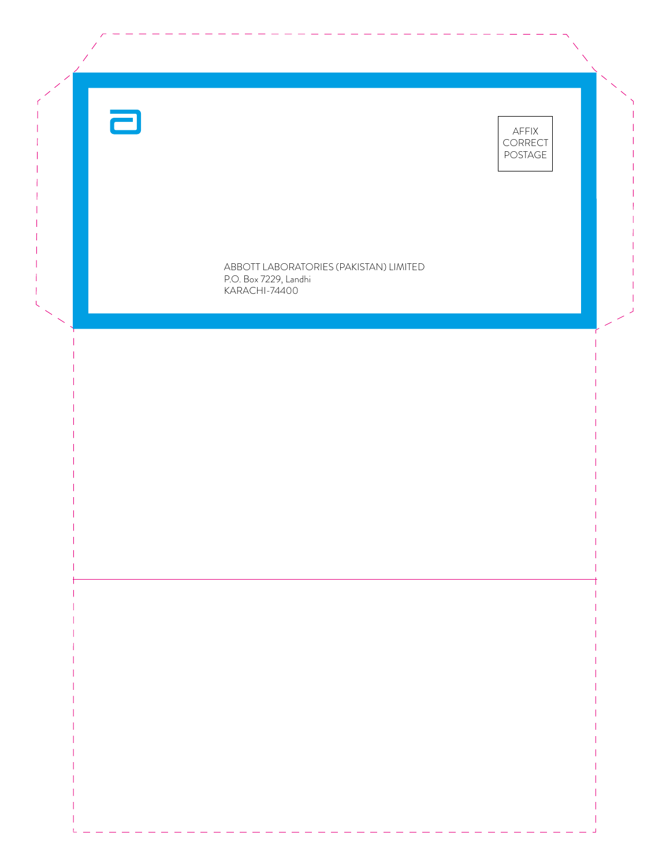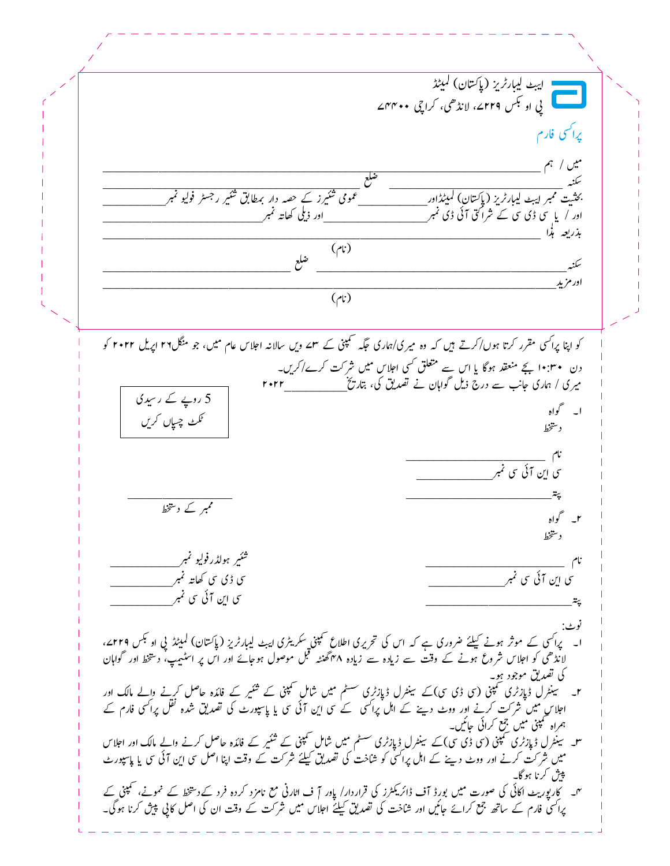207  $\frac{1}{b}$ ل<sup>ىب</sup> ليبار <sup>ب</sup>ريز (پاكستان) كميند بي<br>پي او <sup>تب</sup>س ۲۲۹ے، لانڈ ھی، کراچی ۴۴۰**۰**ے يرا<sup>كس</sup>ى فارم میں / ہم اس کے اس کے اس کے اس کے اس کے اس کے اس کے اس کے اس کے اس کا اس کا اس کا اس کا اس کا اس کا اس کا اس کے<br>اس کا اس کا اس کا اس کا اس کا اس کا اس کا اس کا اس کا اس کا اس کا اس کا اس کا اس کا اس کا اس کا اس کا اس کا اس BBBBBBBBBBBBBBBBBBBBBBBBBBBBBBBBBBBBB⟍BBBBBBBBBBBBBBBBBBBBBBBBB≷ BBBBBBBBB䓖 ĨՆ⮪ Ĩិî Ĩ ǎ ǎ ǘǕ رز کے حصہ دار برطابق شئیر ǘǕ ؗ Ĩ䂬⦫BBBBBBBBBBîþä<sup>Ǘ</sup> <sup>Ǘ</sup> سته<br>بحثیت ممبر ایب<sub>ٹ</sub> لیبا*رڈی*ز (پِا*ک*تانِ) کمیٹڈ .<br>. اور آ یا سَی ڈی سی سے شراکتی آئی ڈی نمبر <del>سیست سے مسی</del>ر اور ذیلی کھاتہ نمبر BBBBBBBBBBBBBBBBBBBBBBBBBBBBBBBBBBBBBBBBBBBBBBBBBBBBBBBBBBBBBBB äč䘩 ĨϚîǎ ǔ بذريعه بذا  $(y)$  $(\cdot)$ BBBBBBBBBBBBBBBBBBBBBBBBBBB⟍BBBBBBBBBBBBBBBBBBBBBBBBBBBBBBBBBBBB≷  $B_{\mu\nu}$ ǔ اور مزید  $(y)$  $(\cdot)$ کو اپنا پراکسی مقرر کرتا ہوں/کرتے ہیں کہ وہ میری/ہماری جگہ سمپنی کے سمے ویں سالانہ اجلاس عام میں، جو منگل۲۲ اپریل ۲۰۲۲ کو دن • ۱۰:۳۰ بجے منعقد ہوگا یا اس سے متعلق کسی اجلاس میں شرکت کرےاکریں۔ ĠĞĠĠBBBBBBBBB دن ۴۰:۳۰ ہے متعقد ہوگا یا اس سے مستعلق کی اجلاس میں سر<br>میری / ہماری جانب سے درج ذیل گواہان نے تصدیق کی، بتاریخ ǔ ا۔ گواہ دستخط  $\overline{\phantom{a}}$  $\mathfrak{c}$  BBBBBBBBBBB䓖 Ĩ⑬ Ĩ䤈ß Ĩ <sup>ǔ</sup> ةä Ĩ⑬ ǎ BBBBBBBBBBBBBBB BBBBBBBBBBBBBBBBBBBBBಫ کے دشتخط کر اہل کر ان میں ان کے ان میں ان کے ان میں ان کے ان میں ان کے ان کا ان کا ان کا ان کا ان کا ان کا ان ک<br>ان کے ان کا ان کا ان کا ان کا ان کا ان کا ان کا ان کا ان کا ان کا ان کا ان کا ان کا ان کا ان کا ان کا ان کا دينتخط ر ہولڈر فولیو تمبر<u> شکست آ</u> ǘǕ ؗ BBBBBBBBBBBBBBBBBBBBû <sup>ǔ</sup> ˄ ی ڈی سی گھانتہ نمبر شی این سی این آئی سی نمبر يَة على السياسية المستخدمات المستخدمات المستخدمات المستخدمات المستخدمات المستخدمات المستخدمات المستخدمات المستخدمات نوٹ:<br>ا۔ پراکسی کے موثر ہونے کیلئے ضروری ہے کہ اس کی تحریری اطلاعِ حمیمتی ِسکریٹری ایبٹ لیبارٹریز (پاکستان) لمیٹڈ پی او <sup>کپ</sup>س 2۲۲۹ء، پرا قا سے عور ہونے سے سرورن ہے کہ ان قا کر یون اعلان ملکی کر یہ ن ایبٹ میبار کریم کرپا سان) کمینید پی اوس کو ا<br>لانڈھی کو اجلاس شروع ہونے کے وقت سے زیادہ سے زیادہ ۴۸ گھنٹہ قبل موصول ہوجائے اور اس پر اسٹیپ، دستخط اور گواہان لانلہ کی تو اجلا ں مروث :<br>کی تصدیق موجود ہو۔ ر کے فائدہ حاصل کرنے والے مالک اور ی تصدیق موجود ہو۔<br>۲۔ سینٹرل ڈپازٹری سمپنی (سی ڈی سی)کے سینٹرل ڈپازٹرِی حسٹم میں شاملِ سمپنی کے شئیر ǔ سینٹرل دپارٹرٹی عملی آن آن سے سینٹرل دپارٹر کی مسلم کسی آن عمل کی سینز کے فلدہ حاصل کرنے والے مالک اور<br>اجلاس میں شرکت کرنے اور ووٹ دینے کے اہل پراکسی کے سی این آئی سی یا پاسپورٹ کی تصدیق شدہ نقل پراکسی فارم کے ہمراہ کمپنی میں جمع کرائی جائیں۔ ǘ ر کے فائدہ حاصل کرنے والے مالک اور اجلاس ہمراہ پھی میں بہت کرانی جائیں۔<br>س سینٹرل ڈپازٹری سمپنی (سی ڈی سی)کے سینٹرل ڈپازٹری سسٹم میں شامل سمپنی کے شئیر ǔ ǔ سینٹرل دپار ترق سمجنی ( ق) ( ق) کے سینٹرل دپار ترق مسلم سین سال ملینی کے سیر کے قائدہ حاصل کرنے والے مالک اور اجلا ل<br>میں شر کت کرنے اور ووٹ دینے کے اہل پراکسی کو شاخت کی تصدیق کیلئے شر کت کے وقت اپنا اصل سی این آئی سی یا ین کرنا ہوگا۔<br>پیش کرنا ہوگا۔ پیں کرنا ہوگا۔<br>''ا۔ کار پوریٹ اکائی کی صورت میں بورِڈ آف ڈائریکٹرز کی قراردار/ پاور آ ف اٹارنی مع نامزد کردہ فرد کےد سخط کے نمونے، سمپنی کے ǘ ہ (پوریٹ افاق ق صورت میں بورڈ آف دائر ینٹزر کی تراردار ا پاور | ف اٹارق ک نامزد کردہ کرد نےد منحط نے منوکے، سپ<br>پراٹسی فارم کے ساتھ جمع کرائے جائیں اور شاخت کی تصدیق کیلئے اجلاس میں شر کت کے وقت ان کی اصل کاپی پیش کرنا ہوگ ǘ 5 روپے کے رسیدی <u>ئىمك چىپاں</u> كريں